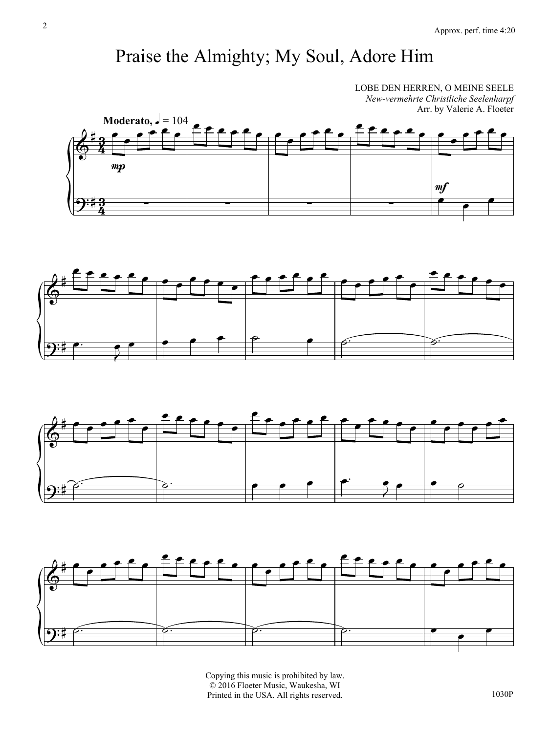## Praise the Almighty; My Soul, Adore Him

LOBE DEN HERREN, O MEINE SEELE *New-vermehrte Christliche Seelenharpf* Arr. by Valerie A. Floeter









Copying this music is prohibited by law. © 2016 Floeter Music, Waukesha, WI Printed in the USA. All rights reserved.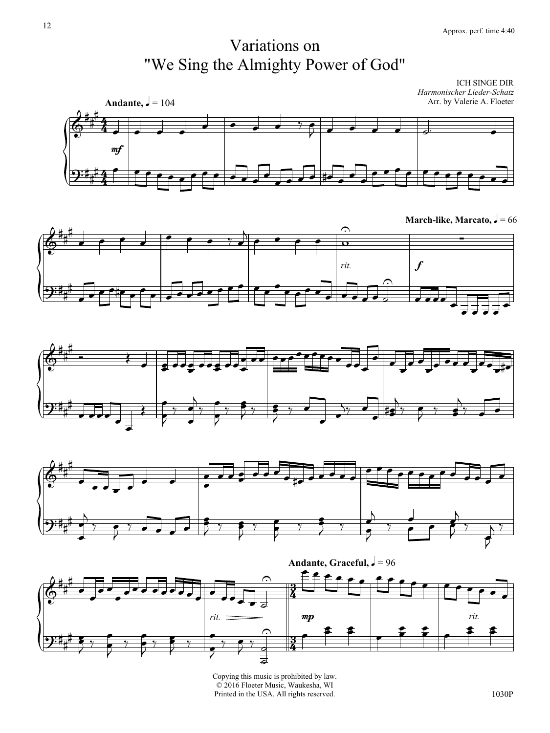## Variations on "We Sing the Almighty Power of God"

4  $\frac{4}{4}$ 4  $\frac{4}{4}$ **Andante,**  $\sqrt{ } = 104$ ICH SINGE DIR *Harmonischer Lieder-Schatz* Arr. by Valerie A. Floeter  $\frac{\partial}{\partial \theta}$  $\sharp$ # mf  $\overrightarrow{ }$  $\bullet$   $\bullet$   $\bullet$   $\circ$   $\bullet$  $\bullet$   $\bullet$   $\bullet$   $\bullet$   $\circ$  $\overline{\phantom{a}}$  $\mathbf{\mathcal{P}}^{\mathbf{:t}_+}$  $\frac{4}{4}$  ceese of  $\overrightarrow{ }$  $\overline{\phantom{a}}$  $\overrightarrow{ }$  $\overline{\bullet}$ 

**March-like, Marcato,**  $\sqrt{ } = 66$ 









Copying this music is prohibited by law. © 2016 Floeter Music, Waukesha, WI Printed in the USA. All rights reserved.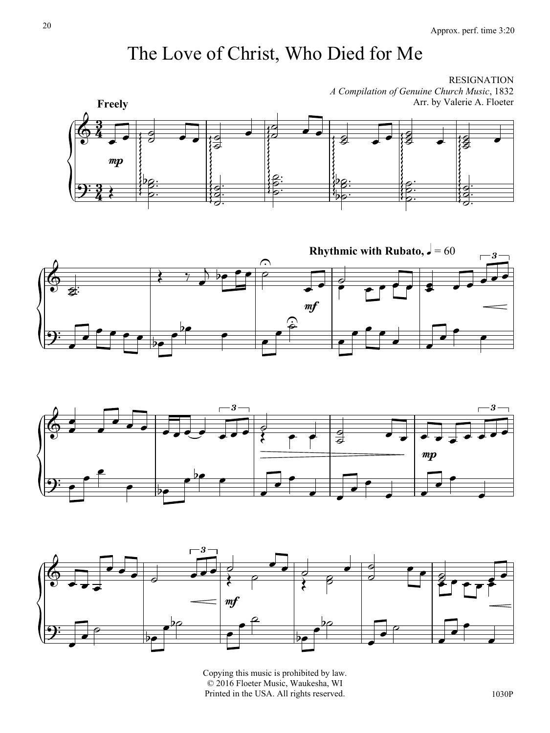## The Love of Christ, Who Died for Me

RESIGNATION *A Compilation of Genuine Church Music*, 1832 Arr. by Valerie A. Floeter









Copying this music is prohibited by law. © 2016 Floeter Music, Waukesha, WI Printed in the USA. All rights reserved.